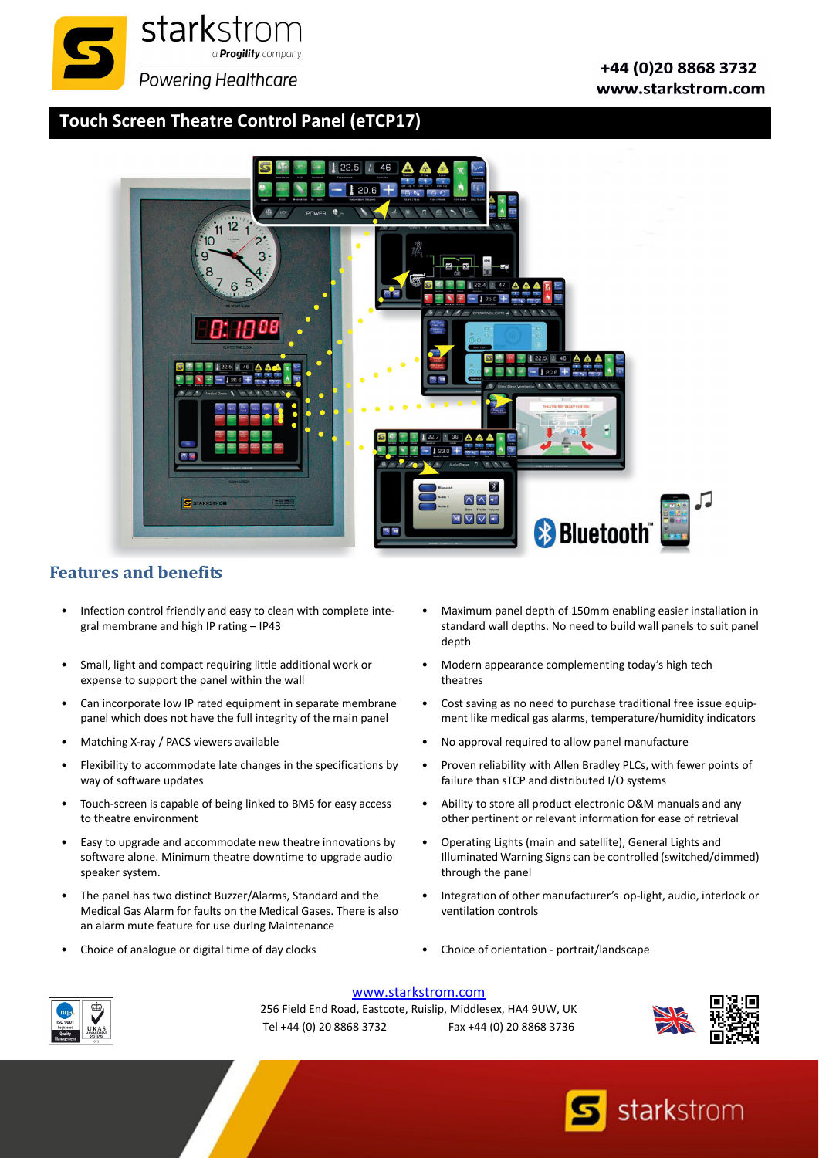

## **Touch Screen Theatre Control Panel [\(eTCP17\)](http://)**



## **Features and benefits**

- Infection control friendly and easy to clean with complete integral membrane and high IP rating – IP43
- Small, light and compact requiring little additional work or expense to support the panel within the wall
- Can incorporate low IP rated equipment in separate membrane panel which does not have the full integrity of the main panel
- 
- Flexibility to accommodate late changes in the specifications by way of software updates
- Touch-screen is capable of being linked to BMS for easy access to theatre environment
- Easy to upgrade and accommodate new theatre innovations by software alone. Minimum theatre downtime to upgrade audio speaker system.
- The panel has two distinct Buzzer/Alarms, Standard and the Medical Gas Alarm for faults on the Medical Gases. There is also an alarm mute feature for use during Maintenance
- 
- Maximum panel depth of 150mm enabling easier installation in standard wall depths. No need to build wall panels to suit panel depth
- Modern appearance complementing today's high tech theatres
- Cost saving as no need to purchase traditional free issue equip‐ ment like medical gas alarms, temperature/humidity indicators
- Matching X-ray / PACS viewers available  **No approval required to allow panel manufacture** No approval required to allow panel manufacture
	- Proven reliability with Allen Bradley PLCs, with fewer points of failure than sTCP and distributed I/O systems
	- Ability to store all product electronic O&M manuals and any other pertinent or relevant information for ease of retrieval
	- Operating Lights (main and satellite), General Lights and Illuminated Warning Signs can be controlled (switched/dimmed) through the panel
	- Integration of other manufacturer's op‐light, audio, interlock or ventilation controls
- Choice of analogue or digital time of day clocks Choice of orientation ‐ portrait/landscape



[www.starkstrom.com](http://www.starkstrom.com)

256 Field End Road, Eastcote, Ruislip, Middlesex, HA4 9UW, UK Tel +44 (0) 20 8868 3732 Fax +44 (0) 20 8868 3736